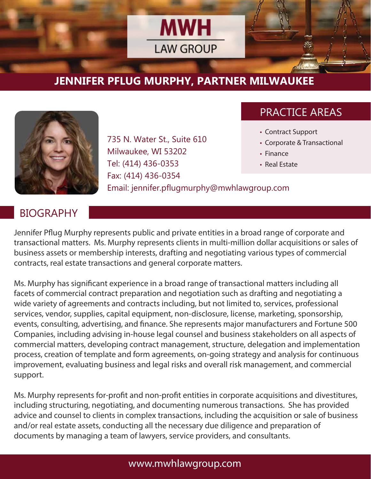

# **JENNIFER PFLUG MURPHY, PARTNER MILWAUKEE**



735 N. Water St., Suite 610 Milwaukee, WI 53202 Tel: (414) 436-0353 Fax: (414) 436-0354 Email: jennifer.pflugmurphy@mwhlawgroup.com

## PRACTICE AREAS

- Contract Support
- Corporate & Transactional
- Finance
- Real Estate

#### **BIOGRAPHY**

Jennifer Pflug Murphy represents public and private entities in a broad range of corporate and transactional matters. Ms. Murphy represents clients in multi-million dollar acquisitions or sales of business assets or membership interests, drafting and negotiating various types of commercial contracts, real estate transactions and general corporate matters.

Ms. Murphy has significant experience in a broad range of transactional matters including all facets of commercial contract preparation and negotiation such as drafting and negotiating a wide variety of agreements and contracts including, but not limited to, services, professional services, vendor, supplies, capital equipment, non-disclosure, license, marketing, sponsorship, events, consulting, advertising, and finance. She represents major manufacturers and Fortune 500 Companies, including advising in-house legal counsel and business stakeholders on all aspects of commercial matters, developing contract management, structure, delegation and implementation process, creation of template and form agreements, on-going strategy and analysis for continuous improvement, evaluating business and legal risks and overall risk management, and commercial support.

Ms. Murphy represents for-profit and non-profit entities in corporate acquisitions and divestitures, including structuring, negotiating, and documenting numerous transactions. She has provided advice and counsel to clients in complex transactions, including the acquisition or sale of business and/or real estate assets, conducting all the necessary due diligence and preparation of documents by managing a team of lawyers, service providers, and consultants.

#### www.mwhlawgroup.com